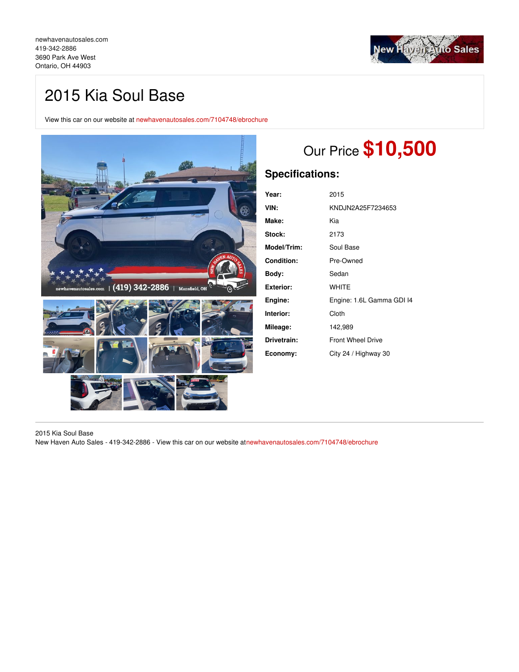[newhavenautosales.com](https://newhavenautosales.com/) [419-342-2886](tel:419-342-2886) 3690 Park Ave West Ontario, OH 44903



## 2015 Kia Soul Base

View this car on our website at [newhavenautosales.com/7104748/ebrochure](https://newhavenautosales.com/vehicle/7104748/2015-kia-soul-base-ontario-oh-44903/7104748/ebrochure)



# Our Price **\$10,500**

## **Specifications:**

| Year:            | 2015                      |
|------------------|---------------------------|
| VIN:             | KNDJN2A25F7234653         |
| Make:            | Kia                       |
| Stock:           | 2173                      |
| Model/Trim:      | Soul Base                 |
| Condition:       | Pre-Owned                 |
| Body:            | Sedan                     |
| <b>Exterior:</b> | <b>WHITE</b>              |
| Engine:          | Engine: 1.6L Gamma GDI I4 |
| Interior:        | Cloth                     |
| Mileage:         | 142,989                   |
| Drivetrain:      | <b>Front Wheel Drive</b>  |
| Economy:         | City 24 / Highway 30      |

2015 Kia Soul Base

New Haven Auto Sales - 419-342-2886 - View this car on our website a[tnewhavenautosales.com/7104748/ebrochure](https://newhavenautosales.com/vehicle/7104748/2015-kia-soul-base-ontario-oh-44903/7104748/ebrochure)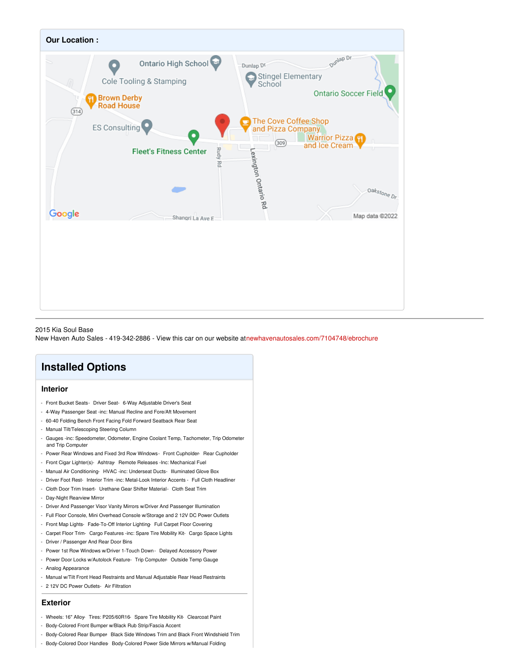

#### 2015 Kia Soul Base

New Haven Auto Sales - 419-342-2886 - View this car on our website a[tnewhavenautosales.com/7104748/ebrochure](https://newhavenautosales.com/vehicle/7104748/2015-kia-soul-base-ontario-oh-44903/7104748/ebrochure)

## **Installed Options**

## **Interior**

- Front Bucket Seats- Driver Seat- 6-Way Adjustable Driver's Seat
- 4-Way Passenger Seat -inc: Manual Recline and Fore/Aft Movement
- 60-40 Folding Bench Front Facing Fold Forward Seatback Rear Seat
- Manual Tilt/Telescoping Steering Column
- Gauges -inc: Speedometer, Odometer, Engine Coolant Temp, Tachometer, Trip Odometer and Trip Computer
- Power Rear Windows and Fixed 3rd Row Windows- Front Cupholder- Rear Cupholder
- Front Cigar Lighter(s)- Ashtray- Remote Releases -Inc: Mechanical Fuel
- Manual Air Conditioning- HVAC -inc: Underseat Ducts- Illuminated Glove Box
- Driver Foot Rest- Interior Trim -inc: Metal-Look Interior Accents Full Cloth Headliner
- Cloth Door Trim Insert- Urethane Gear Shifter Material- Cloth Seat Trim
- Day-Night Rearview Mirror
- Driver And Passenger Visor Vanity Mirrors w/Driver And Passenger Illumination
- Full Floor Console, Mini Overhead Console w/Storage and 2 12V DC Power Outlets
- Front Map Lights- Fade-To-Off Interior Lighting- Full Carpet Floor Covering
- Carpet Floor Trim- Cargo Features -inc: Spare Tire Mobility Kit- Cargo Space Lights
- Driver / Passenger And Rear Door Bins
- Power 1st Row Windows w/Driver 1-Touch Down Delayed Accessory Power
- Power Door Locks w/Autolock Feature- Trip Computer- Outside Temp Gauge
- Analog Appearance
- Manual w/Tilt Front Head Restraints and Manual Adjustable Rear Head Restraints
- 2 12V DC Power Outlets- Air Filtration

### **Exterior**

- Wheels: 16" Alloy- Tires: P205/60R16- Spare Tire Mobility Kit- Clearcoat Paint
- Body-Colored Front Bumper w/Black Rub Strip/Fascia Accent
- Body-Colored Rear Bumper- Black Side Windows Trim and Black Front Windshield Trim
- Body-Colored Door Handles- Body-Colored Power Side Mirrors w/Manual Folding